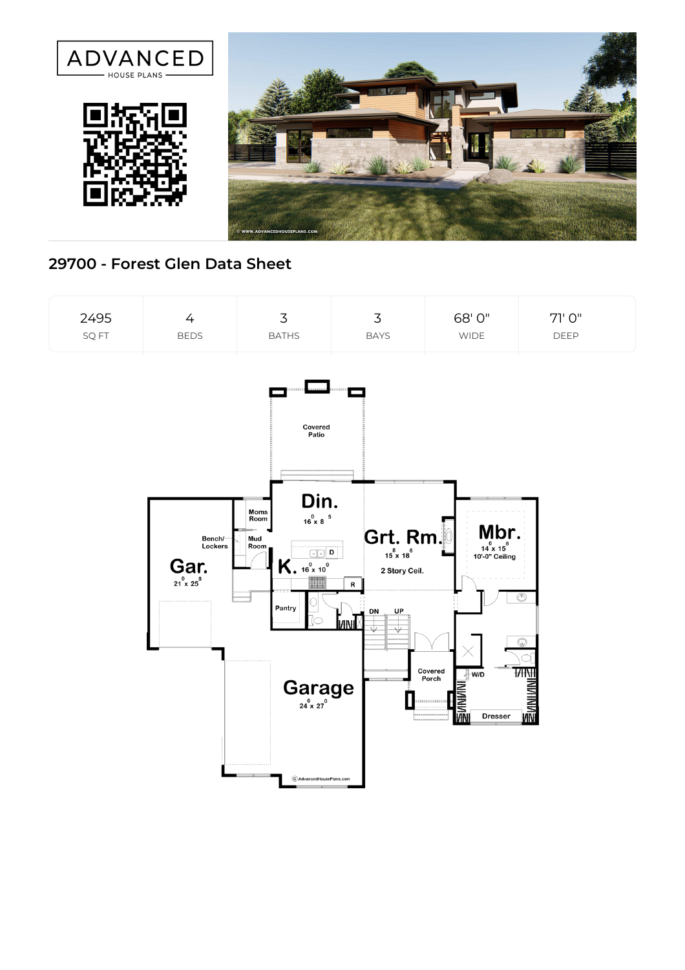

## **29700 - Forest Glen Data Sheet**

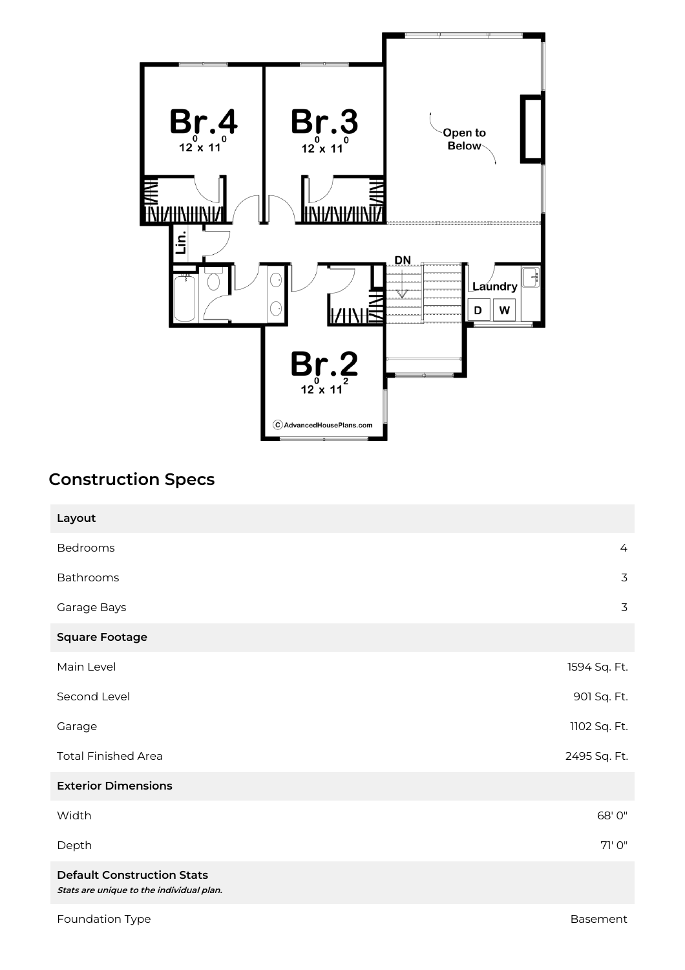

## **Construction Specs**

| Layout                                                                        |                |
|-------------------------------------------------------------------------------|----------------|
| Bedrooms                                                                      | $\overline{4}$ |
| Bathrooms                                                                     | $\overline{3}$ |
| Garage Bays                                                                   | 3              |
| <b>Square Footage</b>                                                         |                |
| Main Level                                                                    | 1594 Sq. Ft.   |
| Second Level                                                                  | 901 Sq. Ft.    |
| Garage                                                                        | 1102 Sq. Ft.   |
| <b>Total Finished Area</b>                                                    | 2495 Sq. Ft.   |
| <b>Exterior Dimensions</b>                                                    |                |
| Width                                                                         | 68' 0"         |
| Depth                                                                         | 71' O"         |
| <b>Default Construction Stats</b><br>Stats are unique to the individual plan. |                |